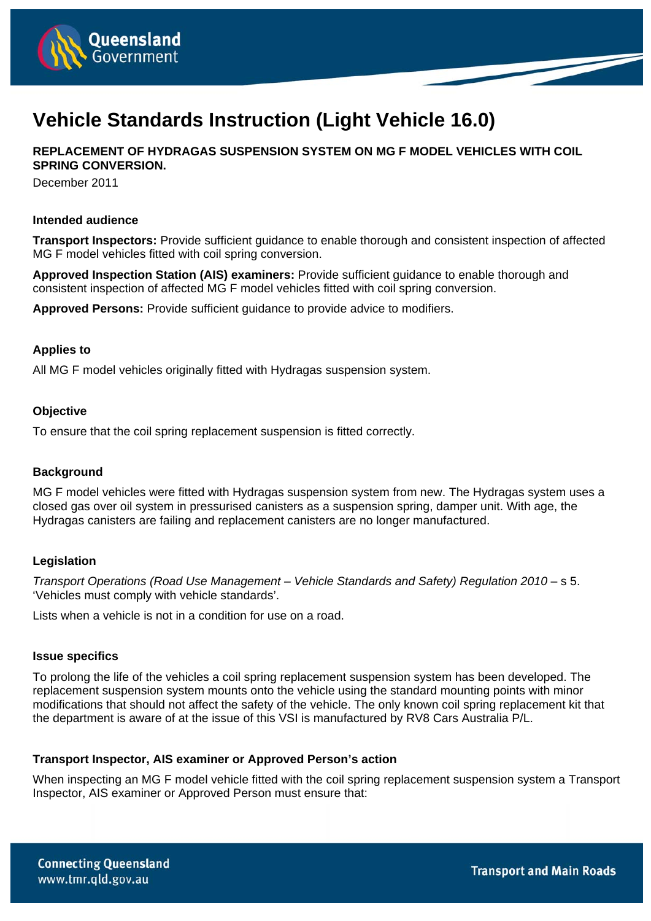

# **Vehicle Standards Instruction (Light Vehicle 16.0)**

**REPLACEMENT OF HYDRAGAS SUSPENSION SYSTEM ON MG F MODEL VEHICLES WITH COIL SPRING CONVERSION.** 

December 2011

### **Intended audience**

**Transport Inspectors:** Provide sufficient guidance to enable thorough and consistent inspection of affected MG F model vehicles fitted with coil spring conversion.

**Approved Inspection Station (AIS) examiners:** Provide sufficient guidance to enable thorough and consistent inspection of affected MG F model vehicles fitted with coil spring conversion.

**Approved Persons:** Provide sufficient guidance to provide advice to modifiers.

# **Applies to**

All MG F model vehicles originally fitted with Hydragas suspension system.

### **Objective**

To ensure that the coil spring replacement suspension is fitted correctly.

### **Background**

MG F model vehicles were fitted with Hydragas suspension system from new. The Hydragas system uses a closed gas over oil system in pressurised canisters as a suspension spring, damper unit. With age, the Hydragas canisters are failing and replacement canisters are no longer manufactured.

# **Legislation**

*Transport Operations (Road Use Management – Vehicle Standards and Safety) Regulation 2010* – s 5. 'Vehicles must comply with vehicle standards'.

Lists when a vehicle is not in a condition for use on a road.

#### **Issue specifics**

To prolong the life of the vehicles a coil spring replacement suspension system has been developed. The replacement suspension system mounts onto the vehicle using the standard mounting points with minor modifications that should not affect the safety of the vehicle. The only known coil spring replacement kit that the department is aware of at the issue of this VSI is manufactured by RV8 Cars Australia P/L.

# **Transport Inspector, AIS examiner or Approved Person's action**

When inspecting an MG F model vehicle fitted with the coil spring replacement suspension system a Transport Inspector, AIS examiner or Approved Person must ensure that: